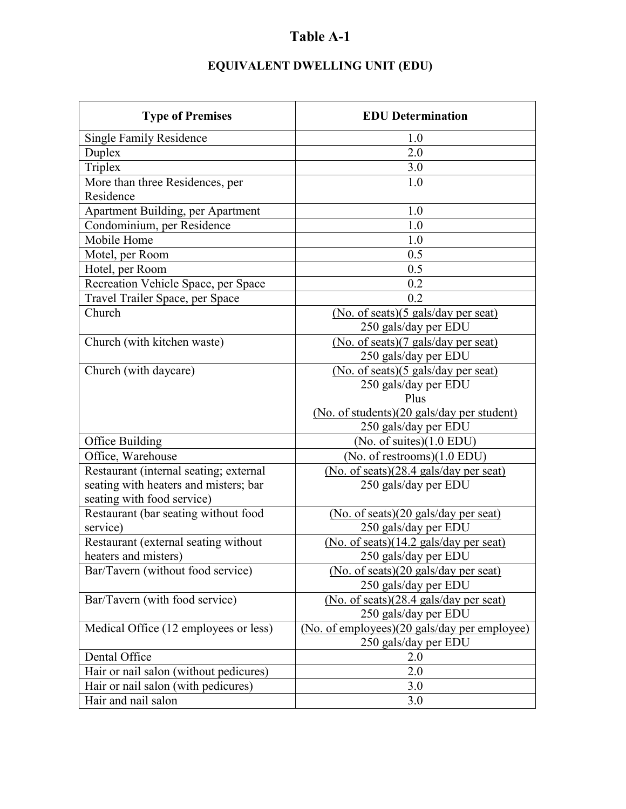## **Table A-1**

| <b>Type of Premises</b>                | <b>EDU</b> Determination                                    |
|----------------------------------------|-------------------------------------------------------------|
| <b>Single Family Residence</b>         | 1.0                                                         |
| Duplex                                 | 2.0                                                         |
| Triplex                                | 3.0                                                         |
| More than three Residences, per        | 1.0                                                         |
| Residence                              |                                                             |
| Apartment Building, per Apartment      | 1.0                                                         |
| Condominium, per Residence             | 1.0                                                         |
| Mobile Home                            | 1.0                                                         |
| Motel, per Room                        | 0.5                                                         |
| Hotel, per Room                        | 0.5                                                         |
| Recreation Vehicle Space, per Space    | 0.2                                                         |
| Travel Trailer Space, per Space        | 0.2                                                         |
| Church                                 | (No. of seats)(5 gals/day per seat)<br>250 gals/day per EDU |
| Church (with kitchen waste)            | (No. of seats)(7 gals/day per seat)<br>250 gals/day per EDU |
| Church (with daycare)                  | (No. of seats)(5 gals/day per seat)                         |
|                                        | 250 gals/day per EDU                                        |
|                                        | Plus                                                        |
|                                        | (No. of students)(20 gals/day per student)                  |
|                                        | 250 gals/day per EDU                                        |
| Office Building                        | (No. of suites) $(1.0$ EDU)                                 |
| Office, Warehouse                      | (No. of restrooms) $(1.0$ EDU)                              |
| Restaurant (internal seating; external | (No. of seats)(28.4 gals/day per seat)                      |
| seating with heaters and misters; bar  | 250 gals/day per EDU                                        |
| seating with food service)             |                                                             |
| Restaurant (bar seating without food   | (No. of seats)(20 gals/day per seat)                        |
| service)                               | 250 gals/day per EDU                                        |
| Restaurant (external seating without   | (No. of seats)(14.2 gals/day per seat)                      |
| heaters and misters)                   | 250 gals/day per EDU                                        |
| Bar/Tavern (without food service)      | (No. of seats)(20 gals/day per seat)                        |
|                                        | 250 gals/day per EDU                                        |
| Bar/Tavern (with food service)         | (No. of seats)(28.4 gals/day per seat)                      |
|                                        | 250 gals/day per EDU                                        |
| Medical Office (12 employees or less)  | (No. of employees)(20 gals/day per employee)                |
|                                        | 250 gals/day per EDU                                        |
| Dental Office                          | 2.0                                                         |
| Hair or nail salon (without pedicures) | 2.0                                                         |
| Hair or nail salon (with pedicures)    | 3.0                                                         |
| Hair and nail salon                    | 3.0                                                         |

## **EQUIVALENT DWELLING UNIT (EDU)**